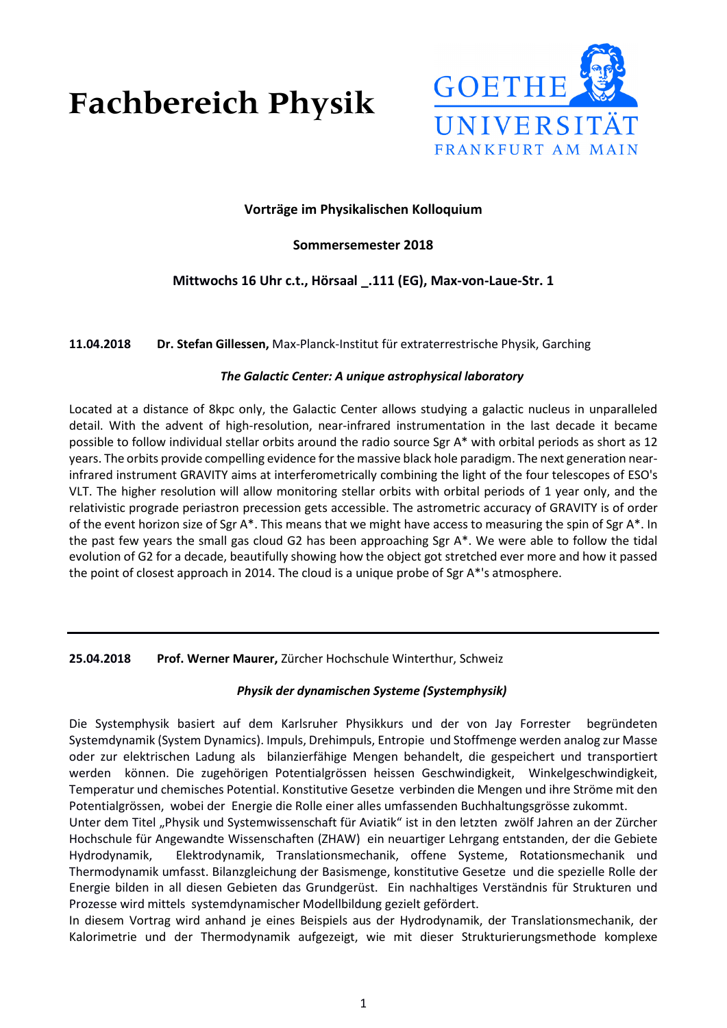# **Fachbereich Physik**



## **Vorträge im Physikalischen Kolloquium**

## **Sommersemester 2018**

# **Mittwochs 16 Uhr c.t., Hörsaal \_.111 (EG), Max-von-Laue-Str. 1**

**11.04.2018 Dr. Stefan Gillessen,** Max-Planck-Institut für extraterrestrische Physik, Garching

#### *The Galactic Center: A unique astrophysical laboratory*

Located at a distance of 8kpc only, the Galactic Center allows studying a galactic nucleus in unparalleled detail. With the advent of high-resolution, near-infrared instrumentation in the last decade it became possible to follow individual stellar orbits around the radio source Sgr A\* with orbital periods as short as 12 years. The orbits provide compelling evidence for the massive black hole paradigm. The next generation nearinfrared instrument GRAVITY aims at interferometrically combining the light of the four telescopes of ESO's VLT. The higher resolution will allow monitoring stellar orbits with orbital periods of 1 year only, and the relativistic prograde periastron precession gets accessible. The astrometric accuracy of GRAVITY is of order of the event horizon size of Sgr A\*. This means that we might have access to measuring the spin of Sgr A\*. In the past few years the small gas cloud G2 has been approaching Sgr A\*. We were able to follow the tidal evolution of G2 for a decade, beautifully showing how the object got stretched ever more and how it passed the point of closest approach in 2014. The cloud is a unique probe of Sgr A\*'s atmosphere.

**25.04.2018 Prof. Werner Maurer,** Zürcher Hochschule Winterthur, Schweiz

## *Physik der dynamischen Systeme (Systemphysik)*

Die Systemphysik basiert auf dem Karlsruher Physikkurs und der von Jay Forrester begründeten Systemdynamik (System Dynamics). Impuls, Drehimpuls, Entropie und Stoffmenge werden analog zur Masse oder zur elektrischen Ladung als bilanzierfähige Mengen behandelt, die gespeichert und transportiert werden können. Die zugehörigen Potentialgrössen heissen Geschwindigkeit, Winkelgeschwindigkeit, Temperatur und chemisches Potential. Konstitutive Gesetze verbinden die Mengen und ihre Ströme mit den Potentialgrössen, wobei der Energie die Rolle einer alles umfassenden Buchhaltungsgrösse zukommt.

Unter dem Titel "Physik und Systemwissenschaft für Aviatik" ist in den letzten zwölf Jahren an der Zürcher Hochschule für Angewandte Wissenschaften (ZHAW) ein neuartiger Lehrgang entstanden, der die Gebiete Hydrodynamik, Elektrodynamik, Translationsmechanik, offene Systeme, Rotationsmechanik und Thermodynamik umfasst. Bilanzgleichung der Basismenge, konstitutive Gesetze und die spezielle Rolle der Energie bilden in all diesen Gebieten das Grundgerüst. Ein nachhaltiges Verständnis für Strukturen und Prozesse wird mittels systemdynamischer Modellbildung gezielt gefördert.

In diesem Vortrag wird anhand je eines Beispiels aus der Hydrodynamik, der Translationsmechanik, der Kalorimetrie und der Thermodynamik aufgezeigt, wie mit dieser Strukturierungsmethode komplexe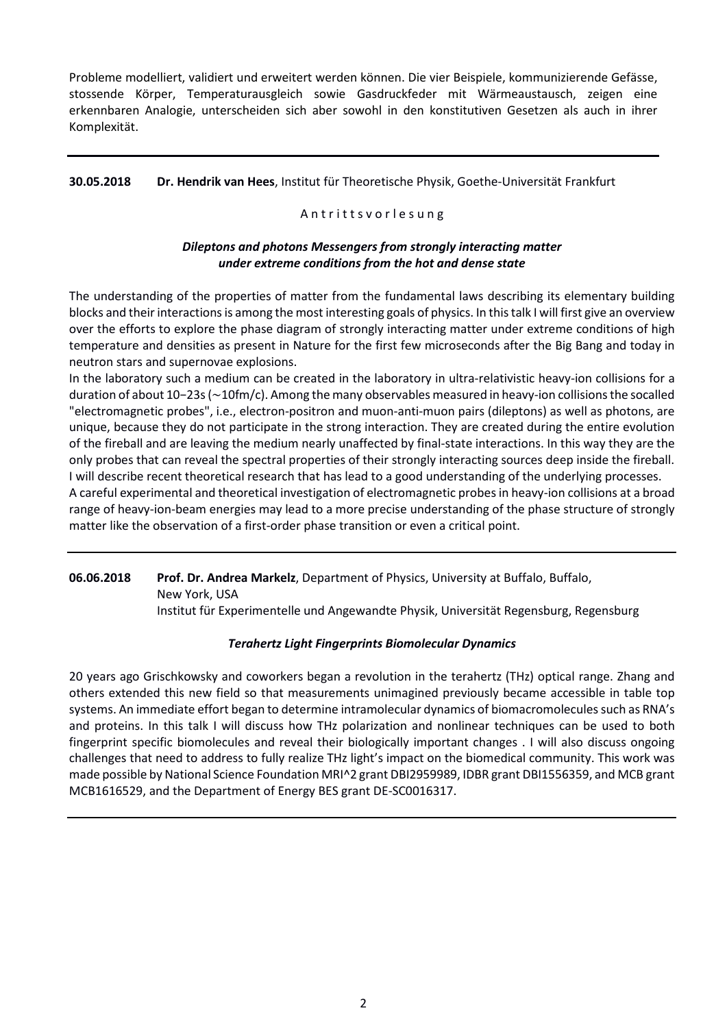Probleme modelliert, validiert und erweitert werden können. Die vier Beispiele, kommunizierende Gefässe, stossende Körper, Temperaturausgleich sowie Gasdruckfeder mit Wärmeaustausch, zeigen eine erkennbaren Analogie, unterscheiden sich aber sowohl in den konstitutiven Gesetzen als auch in ihrer Komplexität.

#### **30.05.2018 Dr. Hendrik van Hees**, Institut für Theoretische Physik, Goethe-Universität Frankfurt

#### Antritts v or lesung

## *Dileptons and photons Messengers from strongly interacting matter under extreme conditions from the hot and dense state*

The understanding of the properties of matter from the fundamental laws describing its elementary building blocks and their interactions is among the most interesting goals of physics. In this talk I will first give an overview over the efforts to explore the phase diagram of strongly interacting matter under extreme conditions of high temperature and densities as present in Nature for the first few microseconds after the Big Bang and today in neutron stars and supernovae explosions.

In the laboratory such a medium can be created in the laboratory in ultra-relativistic heavy-ion collisions for a duration of about 10−23s (∼10fm/c). Among the many observables measured in heavy-ion collisions the socalled "electromagnetic probes", i.e., electron-positron and muon-anti-muon pairs (dileptons) as well as photons, are unique, because they do not participate in the strong interaction. They are created during the entire evolution of the fireball and are leaving the medium nearly unaffected by final-state interactions. In this way they are the only probes that can reveal the spectral properties of their strongly interacting sources deep inside the fireball. I will describe recent theoretical research that has lead to a good understanding of the underlying processes.

A careful experimental and theoretical investigation of electromagnetic probes in heavy-ion collisions at a broad range of heavy-ion-beam energies may lead to a more precise understanding of the phase structure of strongly matter like the observation of a first-order phase transition or even a critical point.

**06.06.2018 Prof. Dr. Andrea Markelz**, Department of Physics, University at Buffalo, Buffalo,

New York, USA

Institut für Experimentelle und Angewandte Physik, Universität Regensburg, Regensburg

## *Terahertz Light Fingerprints Biomolecular Dynamics*

20 years ago Grischkowsky and coworkers began a revolution in the terahertz (THz) optical range. Zhang and others extended this new field so that measurements unimagined previously became accessible in table top systems. An immediate effort began to determine intramolecular dynamics of biomacromolecules such as RNA's and proteins. In this talk I will discuss how THz polarization and nonlinear techniques can be used to both fingerprint specific biomolecules and reveal their biologically important changes . I will also discuss ongoing challenges that need to address to fully realize THz light's impact on the biomedical community. This work was made possible by National Science Foundation MRI^2 grant DBI2959989, IDBR grant DBI1556359, and MCB grant MCB1616529, and the Department of Energy BES grant DE-SC0016317.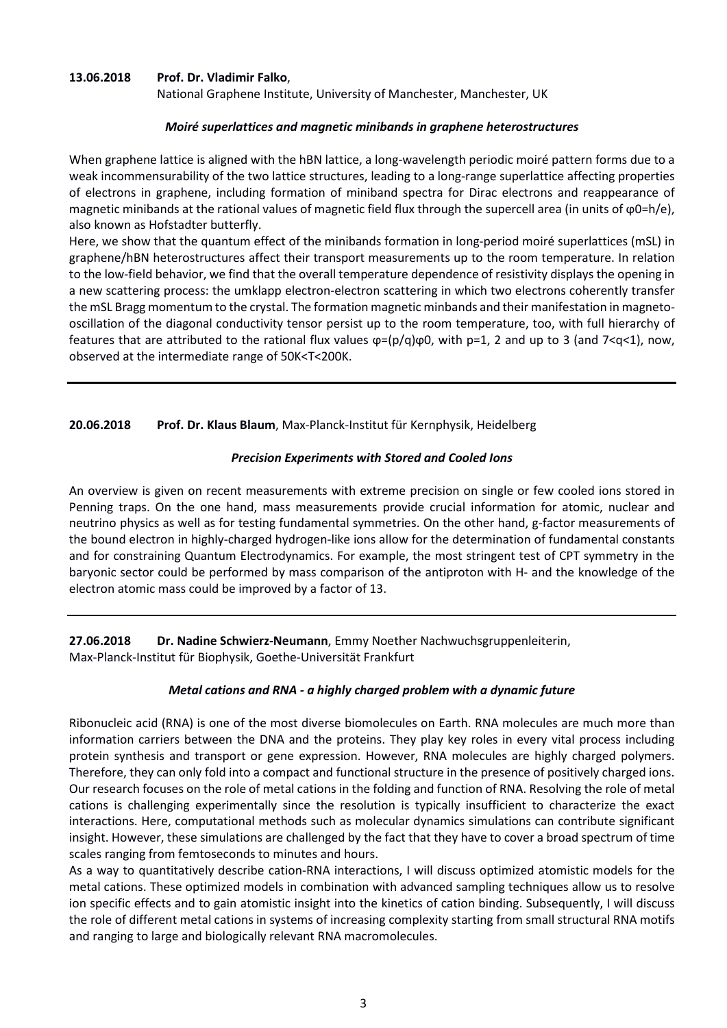#### **13.06.2018 Prof. Dr. Vladimir Falko**,

National Graphene Institute, University of Manchester, Manchester, UK

#### *Moiré superlattices and magnetic minibands in graphene heterostructures*

When graphene lattice is aligned with the hBN lattice, a long-wavelength periodic moiré pattern forms due to a weak incommensurability of the two lattice structures, leading to a long-range superlattice affecting properties of electrons in graphene, including formation of miniband spectra for Dirac electrons and reappearance of magnetic minibands at the rational values of magnetic field flux through the supercell area (in units of ϕ0=h/e), also known as Hofstadter butterfly.

Here, we show that the quantum effect of the minibands formation in long-period moiré superlattices (mSL) in graphene/hBN heterostructures affect their transport measurements up to the room temperature. In relation to the low-field behavior, we find that the overall temperature dependence of resistivity displays the opening in a new scattering process: the umklapp electron-electron scattering in which two electrons coherently transfer the mSL Bragg momentum to the crystal. The formation magnetic minbands and their manifestation in magnetooscillation of the diagonal conductivity tensor persist up to the room temperature, too, with full hierarchy of features that are attributed to the rational flux values  $\varphi = (p/q)\varphi 0$ , with  $p=1$ , 2 and up to 3 (and 7<q<1), now, observed at the intermediate range of 50K<T<200K.

#### **20.06.2018 Prof. Dr. Klaus Blaum**, Max-Planck-Institut für Kernphysik, Heidelberg

#### *Precision Experiments with Stored and Cooled Ions*

An overview is given on recent measurements with extreme precision on single or few cooled ions stored in Penning traps. On the one hand, mass measurements provide crucial information for atomic, nuclear and neutrino physics as well as for testing fundamental symmetries. On the other hand, g-factor measurements of the bound electron in highly-charged hydrogen-like ions allow for the determination of fundamental constants and for constraining Quantum Electrodynamics. For example, the most stringent test of CPT symmetry in the baryonic sector could be performed by mass comparison of the antiproton with H- and the knowledge of the electron atomic mass could be improved by a factor of 13.

**27.06.2018 Dr. Nadine Schwierz-Neumann**, Emmy Noether Nachwuchsgruppenleiterin, Max-Planck-Institut für Biophysik, Goethe-Universität Frankfurt

#### *Metal cations and RNA - a highly charged problem with a dynamic future*

Ribonucleic acid (RNA) is one of the most diverse biomolecules on Earth. RNA molecules are much more than information carriers between the DNA and the proteins. They play key roles in every vital process including protein synthesis and transport or gene expression. However, RNA molecules are highly charged polymers. Therefore, they can only fold into a compact and functional structure in the presence of positively charged ions. Our research focuses on the role of metal cations in the folding and function of RNA. Resolving the role of metal cations is challenging experimentally since the resolution is typically insufficient to characterize the exact interactions. Here, computational methods such as molecular dynamics simulations can contribute significant insight. However, these simulations are challenged by the fact that they have to cover a broad spectrum of time scales ranging from femtoseconds to minutes and hours.

As a way to quantitatively describe cation-RNA interactions, I will discuss optimized atomistic models for the metal cations. These optimized models in combination with advanced sampling techniques allow us to resolve ion specific effects and to gain atomistic insight into the kinetics of cation binding. Subsequently, I will discuss the role of different metal cations in systems of increasing complexity starting from small structural RNA motifs and ranging to large and biologically relevant RNA macromolecules.